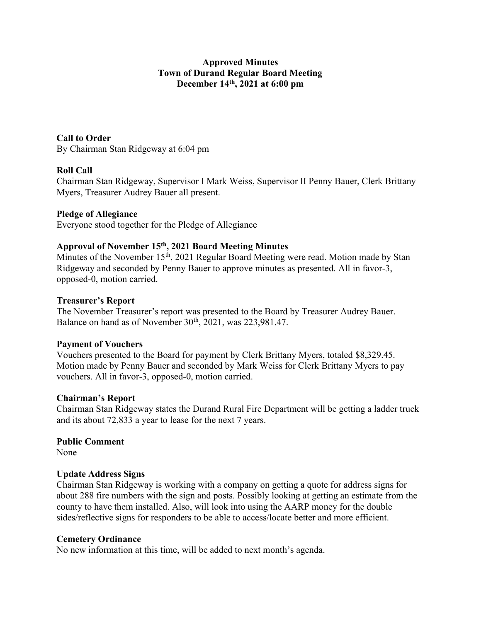## Approved Minutes Town of Durand Regular Board Meeting December 14th, 2021 at 6:00 pm

Call to Order By Chairman Stan Ridgeway at 6:04 pm

## Roll Call

Chairman Stan Ridgeway, Supervisor I Mark Weiss, Supervisor II Penny Bauer, Clerk Brittany Myers, Treasurer Audrey Bauer all present.

### Pledge of Allegiance

Everyone stood together for the Pledge of Allegiance

## Approval of November 15th, 2021 Board Meeting Minutes

Minutes of the November  $15<sup>th</sup>$ , 2021 Regular Board Meeting were read. Motion made by Stan Ridgeway and seconded by Penny Bauer to approve minutes as presented. All in favor-3, opposed-0, motion carried.

### Treasurer's Report

The November Treasurer's report was presented to the Board by Treasurer Audrey Bauer. Balance on hand as of November  $30<sup>th</sup>$ ,  $2021$ , was 223,981.47.

### Payment of Vouchers

Vouchers presented to the Board for payment by Clerk Brittany Myers, totaled \$8,329.45. Motion made by Penny Bauer and seconded by Mark Weiss for Clerk Brittany Myers to pay vouchers. All in favor-3, opposed-0, motion carried.

### Chairman's Report

Chairman Stan Ridgeway states the Durand Rural Fire Department will be getting a ladder truck and its about 72,833 a year to lease for the next 7 years.

# Public Comment

None

### Update Address Signs

Chairman Stan Ridgeway is working with a company on getting a quote for address signs for about 288 fire numbers with the sign and posts. Possibly looking at getting an estimate from the county to have them installed. Also, will look into using the AARP money for the double sides/reflective signs for responders to be able to access/locate better and more efficient.

### Cemetery Ordinance

No new information at this time, will be added to next month's agenda.